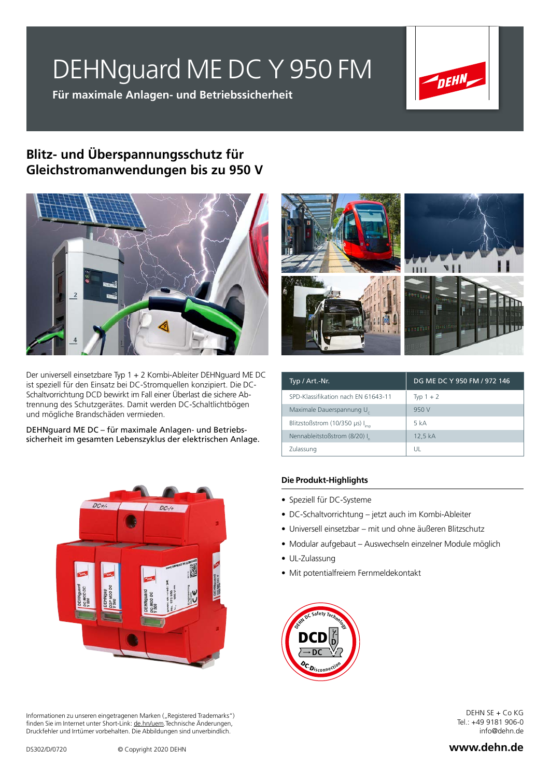# DEHNguard ME DC Y 950 FM

**Für maximale Anlagen- und Betriebssicherheit**



## **Blitz- und Überspannungsschutz für Gleichstromanwendungen bis zu 950 V**



Der universell einsetzbare Typ 1 + 2 Kombi-Ableiter DEHNguard ME DC ist speziell für den Einsatz bei DC-Stromquellen konzipiert. Die DC-Schaltvorrichtung DCD bewirkt im Fall einer Überlast die sichere Abtrennung des Schutzgerätes. Damit werden DC-Schaltlichtbögen und mögliche Brandschäden vermieden.

DEHNguard ME DC – für maximale Anlagen- und Betriebssicherheit im gesamten Lebenszyklus der elektrischen Anlage.



Informationen zu unseren eingetragenen Marken ("Registered Trademarks") finden Sie im Internet unter Short-Link: de.hn/uem.Technische Änderungen, Druckfehler und Irrtümer vorbehalten. Die Abbildungen sind unverbindlich.



| Typ / Art.-Nr.                              | DG ME DC Y 950 FM / 972 146 |
|---------------------------------------------|-----------------------------|
| SPD-Klassifikation nach EN 61643-11         | Typ $1 + 2$                 |
| Maximale Dauerspannung U                    | 950 V                       |
| Blitzstoßstrom (10/350 µs) I <sub>imn</sub> | 5 kA                        |
| Nennableitstoßstrom (8/20) I                | 12,5 kA                     |
| Zulassung                                   | UL                          |

#### **Die Produkt-Highlights**

- Speziell für DC-Systeme
- DC-Schaltvorrichtung jetzt auch im Kombi-Ableiter
- Universell einsetzbar mit und ohne äußeren Blitzschutz
- Modular aufgebaut Auswechseln einzelner Module möglich
- UL-Zulassung
- Mit potentialfreiem Fernmeldekontakt



DEHN SE + Co KG Tel.: +49 9181 906-0 info@dehn.de

#### **www.dehn.de**